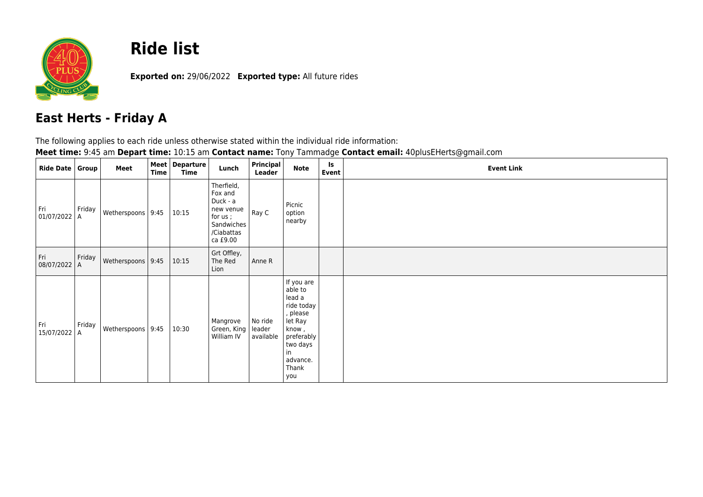

## **Ride list**

**Exported on:** 29/06/2022 **Exported type:** All future rides

## **East Herts - Friday A**

The following applies to each ride unless otherwise stated within the individual ride information:

**Meet time:** 9:45 am **Depart time:** 10:15 am **Contact name:** Tony Tammadge **Contact email:** 40plusEHerts@gmail.com

| Ride Date   Group     |        | Meet                | <b>Time</b> | Meet   Departure<br>Time | Lunch                                                                                             | Principal<br>Leader            | <b>Note</b>                                                                                                                               | <b>Is</b><br>Event | <b>Event Link</b> |
|-----------------------|--------|---------------------|-------------|--------------------------|---------------------------------------------------------------------------------------------------|--------------------------------|-------------------------------------------------------------------------------------------------------------------------------------------|--------------------|-------------------|
| Fri<br>$01/07/2022$ A | Friday | Wetherspoons   9:45 |             | 10:15                    | Therfield,<br>Fox and<br>Duck - a<br>new venue<br>for us;<br>Sandwiches<br>/Ciabattas<br>ca £9.00 | Ray C                          | Picnic<br>option<br>nearby                                                                                                                |                    |                   |
| Fri<br>08/07/2022 A   | Friday | Wetherspoons   9:45 |             | 10:15                    | Grt Offley,<br>The Red<br>Lion                                                                    | Anne R                         |                                                                                                                                           |                    |                   |
| Fri<br>15/07/2022 A   | Friday | Wetherspoons   9:45 |             | 10:30                    | Mangrove<br>Green, King<br>William IV                                                             | No ride<br>leader<br>available | If you are<br>able to<br>lead a<br>ride today<br>, please<br>let Ray<br>know,<br>preferably<br>two days<br>in<br>advance.<br>Thank<br>you |                    |                   |